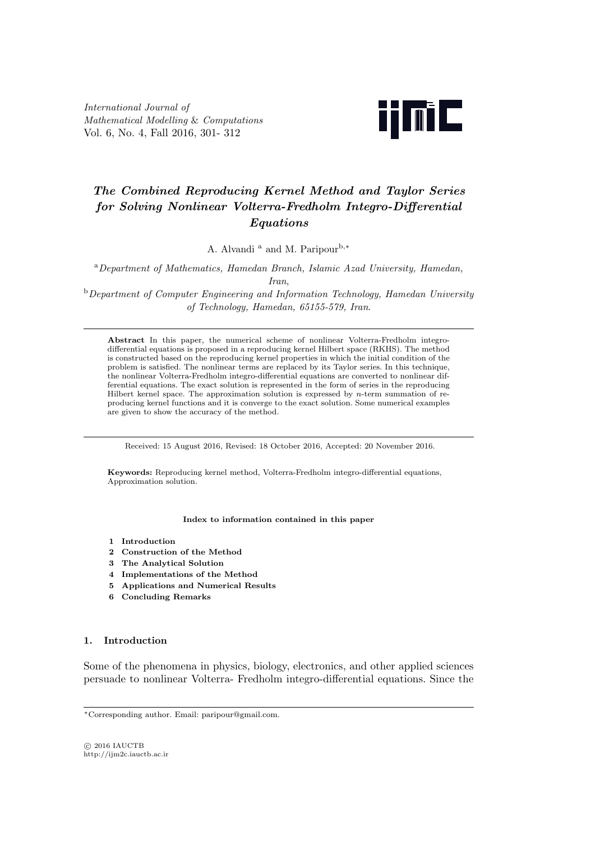*International Journal of Mathematical Modelling* & *Computations* Vol. 6, No. 4, Fall 2016, 301- 312



# *The Combined Reproducing Kernel Method and Taylor Series for Solving Nonlinear Volterra-Fredholm Integro-Differential Equations*

A. Alvandi <sup>a</sup> and M. Paripour<sup>b</sup>*,<sup>∗</sup>*

<sup>a</sup>*Department of Mathematics, Hamedan Branch, Islamic Azad University, Hamedan, Iran*,

<sup>b</sup>*Department of Computer Engineering and Information Technology, Hamedan University of Technology, Hamedan, 65155-579, Iran*.

**Abstract** In this paper, the numerical scheme of nonlinear Volterra-Fredholm integrodifferential equations is proposed in a reproducing kernel Hilbert space (RKHS). The method is constructed based on the reproducing kernel properties in which the initial condition of the problem is satisfied. The nonlinear terms are replaced by its Taylor series. In this technique, the nonlinear Volterra-Fredholm integro-differential equations are converted to nonlinear differential equations. The exact solution is represented in the form of series in the reproducing Hilbert kernel space. The approximation solution is expressed by *n*-term summation of reproducing kernel functions and it is converge to the exact solution. Some numerical examples are given to show the accuracy of the method.

Received: 15 August 2016, Revised: 18 October 2016, Accepted: 20 November 2016.

**Keywords:** Reproducing kernel method, Volterra-Fredholm integro-differential equations, Approximation solution.

## **Index to information contained in this paper**

- **1 Introduction**
- **2 Construction of the Method**
- **3 The Analytical Solution**
- **4 Implementations of the Method**
- **5 Applications and Numerical Results**
- **6 Concluding Remarks**

## **1. Introduction**

Some of the phenomena in physics, biology, electronics, and other applied sciences persuade to nonlinear Volterra- Fredholm integro-differential equations. Since the

*<sup>∗</sup>*Corresponding author. Email: paripour@gmail.com.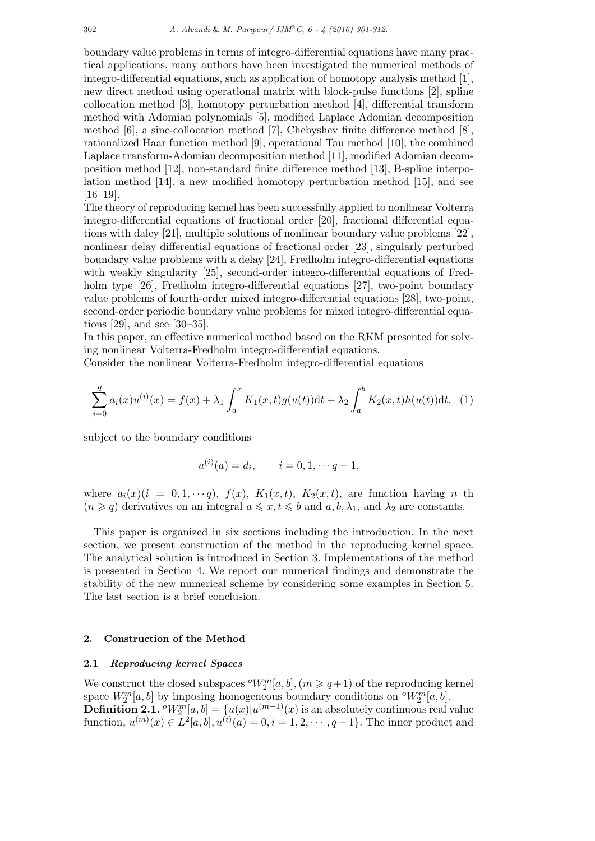boundary value problems in terms of integro-differential equations have many practical applications, many authors have been investigated the numerical methods of integro-differential equations, such as application of homotopy analysis method [1], new direct method using operational matrix with block-pulse functions [2], spline collocation method [3], homotopy perturbation method [4], differential transform method with Adomian polynomials [5], modified Laplace Adomian decomposition method [6], a sinc-collocation method [7], Chebyshev finite difference method [8], rationalized Haar function method [9], operational Tau method [10], the combined Laplace transform-Adomian decomposition method [11], modified Adomian decomposition method [12], non-standard finite difference method [13], B-spline interpolation method [14], a new modified homotopy perturbation method [15], and see [16–19].

The theory of reproducing kernel has been successfully applied to nonlinear Volterra integro-differential equations of fractional order [20], fractional differential equations with daley [21], multiple solutions of nonlinear boundary value problems [22], nonlinear delay differential equations of fractional order [23], singularly perturbed boundary value problems with a delay [24], Fredholm integro-differential equations with weakly singularity [25], second-order integro-differential equations of Fredholm type [26], Fredholm integro-differential equations [27], two-point boundary value problems of fourth-order mixed integro-differential equations [28], two-point, second-order periodic boundary value problems for mixed integro-differential equations [29], and see [30–35].

In this paper, an effective numerical method based on the RKM presented for solving nonlinear Volterra-Fredholm integro-differential equations.

Consider the nonlinear Volterra-Fredholm integro-differential equations

$$
\sum_{i=0}^{q} a_i(x)u^{(i)}(x) = f(x) + \lambda_1 \int_a^x K_1(x,t)g(u(t))dt + \lambda_2 \int_a^b K_2(x,t)h(u(t))dt, \tag{1}
$$

subject to the boundary conditions

$$
u^{(i)}(a) = d_i, \qquad i = 0, 1, \cdots q - 1,
$$

where  $a_i(x)(i = 0, 1, \dots, q)$ ,  $f(x)$ ,  $K_1(x, t)$ ,  $K_2(x, t)$ , are function having *n* th  $(n \geq q)$  derivatives on an integral  $a \leq x, t \leq b$  and  $a, b, \lambda_1$ , and  $\lambda_2$  are constants.

This paper is organized in six sections including the introduction. In the next section, we present construction of the method in the reproducing kernel space. The analytical solution is introduced in Section 3. Implementations of the method is presented in Section 4. We report our numerical findings and demonstrate the stability of the new numerical scheme by considering some examples in Section 5. The last section is a brief conclusion.

## **2. Construction of the Method**

### **2.1** *Reproducing kernel Spaces*

We construct the closed subspaces  $^{o}W_2^m[a, b], (m \geqslant q+1)$  of the reproducing kernel space  $W_2^m[a, b]$  by imposing homogeneous boundary conditions on  $\sigma W_2^m[a, b]$ . **Definition 2.1.**  $^oW_2^m[a, b] = \{u(x)|u^{(m-1)}(x)$  is an absolutely continuous real value  $function, u^{(m)}(x) \in L^{2}[a, b], u^{(i)}(a) = 0, i = 1, 2, \cdots, q-1$ . The inner product and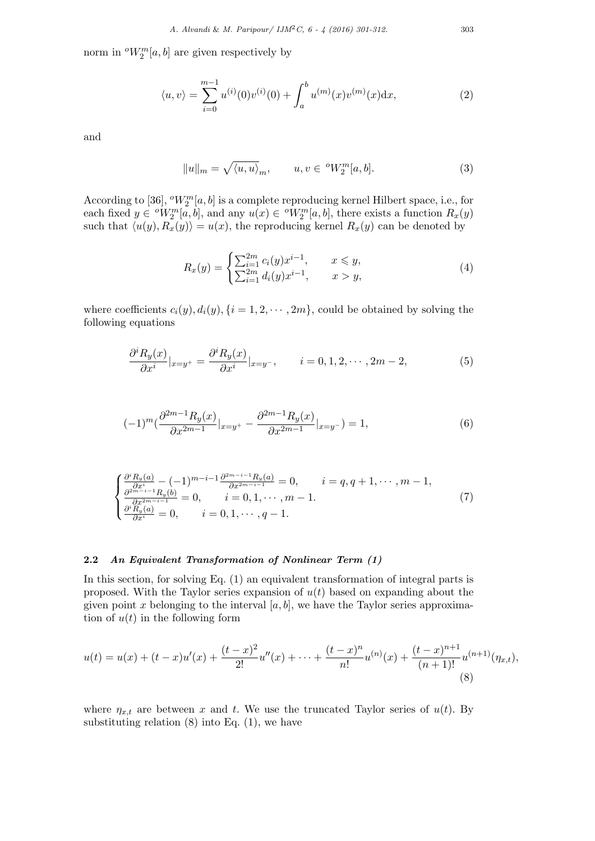norm in  $^{o}W_{2}^{m}[a, b]$  are given respectively by

$$
\langle u, v \rangle = \sum_{i=0}^{m-1} u^{(i)}(0) v^{(i)}(0) + \int_a^b u^{(m)}(x) v^{(m)}(x) dx, \tag{2}
$$

and

$$
||u||_m = \sqrt{\langle u, u \rangle}_m, \qquad u, v \in {}^o W_2^m[a, b]. \tag{3}
$$

According to [36],  $^oW_2^m[a, b]$  is a complete reproducing kernel Hilbert space, i.e., for each fixed  $y \in {}^{\circ}W_2^m[a, b]$ , and any  $u(x) \in {}^{\circ}W_2^m[a, b]$ , there exists a function  $R_x(y)$ such that  $\langle u(y), R_x(y) \rangle = u(x)$ , the reproducing kernel  $R_x(y)$  can be denoted by

$$
R_x(y) = \begin{cases} \sum_{i=1}^{2m} c_i(y)x^{i-1}, & x \le y, \\ \sum_{i=1}^{2m} d_i(y)x^{i-1}, & x > y, \end{cases}
$$
(4)

where coefficients  $c_i(y)$ ,  $d_i(y)$ ,  $\{i = 1, 2, \dots, 2m\}$ , could be obtained by solving the following equations

$$
\frac{\partial^i R_y(x)}{\partial x^i}|_{x=y^+} = \frac{\partial^i R_y(x)}{\partial x^i}|_{x=y^-}, \qquad i = 0, 1, 2, \cdots, 2m - 2,
$$
\n(5)

$$
(-1)^m \left(\frac{\partial^{2m-1} R_y(x)}{\partial x^{2m-1}}|_{x=y^+} - \frac{\partial^{2m-1} R_y(x)}{\partial x^{2m-1}}|_{x=y^-}\right) = 1,\tag{6}
$$

$$
\begin{cases}\n\frac{\partial^i R_y(a)}{\partial x^i} - (-1)^{m-i-1} \frac{\partial^{2m-i-1} R_y(a)}{\partial x^{2m-i-1}} = 0, & i = q, q+1, \dots, m-1, \\
\frac{\partial^{2m-i-1} R_y(b)}{\partial x^{2m-i-1}} = 0, & i = 0, 1, \dots, m-1. \\
\frac{\partial^i R_y(a)}{\partial x^i} = 0, & i = 0, 1, \dots, q-1.\n\end{cases}
$$
\n(7)

## **2.2** *An Equivalent Transformation of Nonlinear Term (1)*

In this section, for solving Eq. (1) an equivalent transformation of integral parts is proposed. With the Taylor series expansion of *u*(*t*) based on expanding about the given point *x* belonging to the interval  $[a, b]$ , we have the Taylor series approximation of  $u(t)$  in the following form

$$
u(t) = u(x) + (t - x)u'(x) + \frac{(t - x)^2}{2!}u''(x) + \dots + \frac{(t - x)^n}{n!}u^{(n)}(x) + \frac{(t - x)^{n+1}}{(n+1)!}u^{(n+1)}(\eta_{x,t}),
$$
\n(8)

where  $\eta_{x,t}$  are between *x* and *t*. We use the truncated Taylor series of  $u(t)$ . By substituting relation  $(8)$  into Eq.  $(1)$ , we have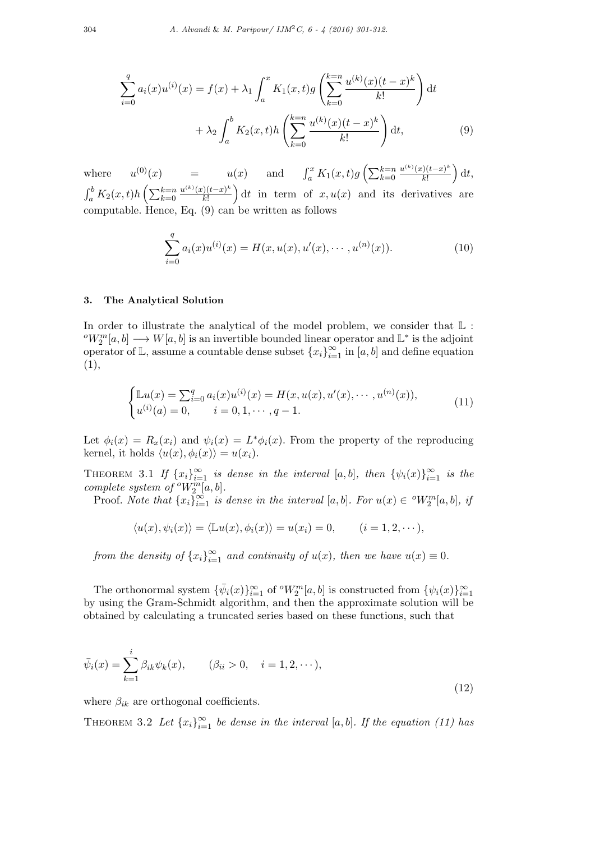$$
\sum_{i=0}^{q} a_i(x)u^{(i)}(x) = f(x) + \lambda_1 \int_a^x K_1(x,t)g\left(\sum_{k=0}^{k=n} \frac{u^{(k)}(x)(t-x)^k}{k!}\right) dt
$$

$$
+ \lambda_2 \int_a^b K_2(x,t)h\left(\sum_{k=0}^{k=n} \frac{u^{(k)}(x)(t-x)^k}{k!}\right) dt,
$$
(9)

where  $u^{(0)}(x) = u(x)$  and  $\int_{a}^{x} K_1(x,t)g(\sum_{k=0}^{k=n}$  $u^{(k)}(x)(t-x)^k$ *k*! ) d*t*,  $\int_a^b K_2(x,t)h\left(\sum_{k=0}^{k=n}$ *u* (*k*) (*x*)(*t−x*) *k k*! ) dt in term of  $x, u(x)$  and its derivatives are computable. Hence, Eq. (9) can be written as follows

$$
\sum_{i=0}^{q} a_i(x)u^{(i)}(x) = H(x, u(x), u'(x), \cdots, u^{(n)}(x)).
$$
\n(10)

# **3. The Analytical Solution**

In order to illustrate the analytical of the model problem, we consider that  $\mathbb L$ :  $\sigma W_2^m[a, b] \longrightarrow W[a, b]$  is an invertible bounded linear operator and  $\mathbb{L}^*$  is the adjoint operator of  $\mathbb{L}$ , assume a countable dense subset  $\{x_i\}_{i=1}^{\infty}$  in  $[a, b]$  and define equation (1),

$$
\begin{cases} \mathbb{L}u(x) = \sum_{i=0}^{q} a_i(x)u^{(i)}(x) = H(x, u(x), u'(x), \cdots, u^{(n)}(x)), \\ u^{(i)}(a) = 0, \qquad i = 0, 1, \cdots, q-1. \end{cases}
$$
(11)

Let  $\phi_i(x) = R_x(x_i)$  and  $\psi_i(x) = L^* \phi_i(x)$ . From the property of the reproducing kernel, it holds  $\langle u(x), \phi_i(x) \rangle = u(x_i)$ .

THEOREM 3.1 *If*  $\{x_i\}_{i=1}^{\infty}$  *is dense in the interval* [*a, b*]*, then*  $\{\psi_i(x)\}_{i=1}^{\infty}$  *is the complete system of*  $^oW_2^m[a, b]$ *.* 

Proof. *Note that*  $\{x_i\}_{i=1}^{\infty}$  *is dense in the interval*  $[a, b]$ *. For*  $u(x) \in {}^{\circ}W_2^m[a, b]$ *, if* 

$$
\langle u(x), \psi_i(x) \rangle = \langle \mathbb{L}u(x), \phi_i(x) \rangle = u(x_i) = 0, \qquad (i = 1, 2, \cdots),
$$

*from the density of*  $\{x_i\}_{i=1}^{\infty}$  *and continuity of*  $u(x)$ *, then we have*  $u(x) \equiv 0$ *.* 

The orthonormal system  ${\lbrace \bar{\psi}_i(x) \rbrace_{i=1}^{\infty}}$  of  $^oW_2^m[a, b]$  is constructed from  ${\lbrace \psi_i(x) \rbrace_{i=1}^{\infty}}$ by using the Gram-Schmidt algorithm, and then the approximate solution will be obtained by calculating a truncated series based on these functions, such that

$$
\bar{\psi}_i(x) = \sum_{k=1}^i \beta_{ik} \psi_k(x), \qquad (\beta_{ii} > 0, \quad i = 1, 2, \cdots),
$$
\n(12)

where  $\beta_{ik}$  are orthogonal coefficients.

THEOREM 3.2 Let  $\{x_i\}_{i=1}^{\infty}$  be dense in the interval [a, b]. If the equation (11) has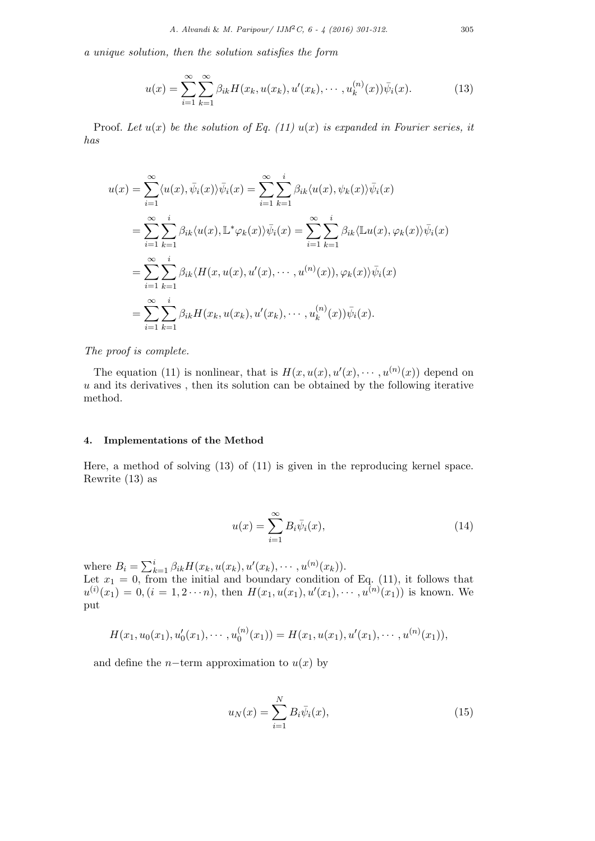*a unique solution, then the solution satisfies the form*

$$
u(x) = \sum_{i=1}^{\infty} \sum_{k=1}^{\infty} \beta_{ik} H(x_k, u(x_k), u'(x_k), \cdots, u_k^{(n)}(x)) \bar{\psi}_i(x).
$$
 (13)

Proof. Let  $u(x)$  be the solution of Eq. (11)  $u(x)$  is expanded in Fourier series, it *has*

$$
u(x) = \sum_{i=1}^{\infty} \langle u(x), \bar{\psi}_i(x) \rangle \bar{\psi}_i(x) = \sum_{i=1}^{\infty} \sum_{k=1}^{i} \beta_{ik} \langle u(x), \psi_k(x) \rangle \bar{\psi}_i(x)
$$
  
\n
$$
= \sum_{i=1}^{\infty} \sum_{k=1}^{i} \beta_{ik} \langle u(x), \mathbb{L}^* \varphi_k(x) \rangle \bar{\psi}_i(x) = \sum_{i=1}^{\infty} \sum_{k=1}^{i} \beta_{ik} \langle \mathbb{L} u(x), \varphi_k(x) \rangle \bar{\psi}_i(x)
$$
  
\n
$$
= \sum_{i=1}^{\infty} \sum_{k=1}^{i} \beta_{ik} \langle H(x, u(x), u'(x), \cdots, u^{(n)}(x)), \varphi_k(x) \rangle \bar{\psi}_i(x)
$$
  
\n
$$
= \sum_{i=1}^{\infty} \sum_{k=1}^{i} \beta_{ik} H(x_k, u(x_k), u'(x_k), \cdots, u_k^{(n)}(x)) \bar{\psi}_i(x).
$$

*The proof is complete.*

The equation (11) is nonlinear, that is  $H(x, u(x), u'(x), \dots, u^{(n)}(x))$  depend on *u* and its derivatives , then its solution can be obtained by the following iterative method.

## **4. Implementations of the Method**

Here, a method of solving (13) of (11) is given in the reproducing kernel space. Rewrite (13) as

$$
u(x) = \sum_{i=1}^{\infty} B_i \bar{\psi}_i(x), \qquad (14)
$$

where  $B_i = \sum_{k=1}^i \beta_{ik} H(x_k, u(x_k), u'(x_k), \cdots, u^{(n)}(x_k)).$ Let  $x_1 = 0$ , from the initial and boundary condition of Eq. (11), it follows that  $u^{(i)}(x_1) = 0, (i = 1, 2 \cdots n)$ , then  $H(x_1, u(x_1), u'(x_1), \cdots, u^{(n)}(x_1))$  is known. We put

$$
H(x_1, u_0(x_1), u'_0(x_1), \cdots, u_0^{(n)}(x_1)) = H(x_1, u(x_1), u'(x_1), \cdots, u^{(n)}(x_1)),
$$

and define the *n*−term approximation to  $u(x)$  by

$$
u_N(x) = \sum_{i=1}^N B_i \bar{\psi}_i(x),
$$
\n(15)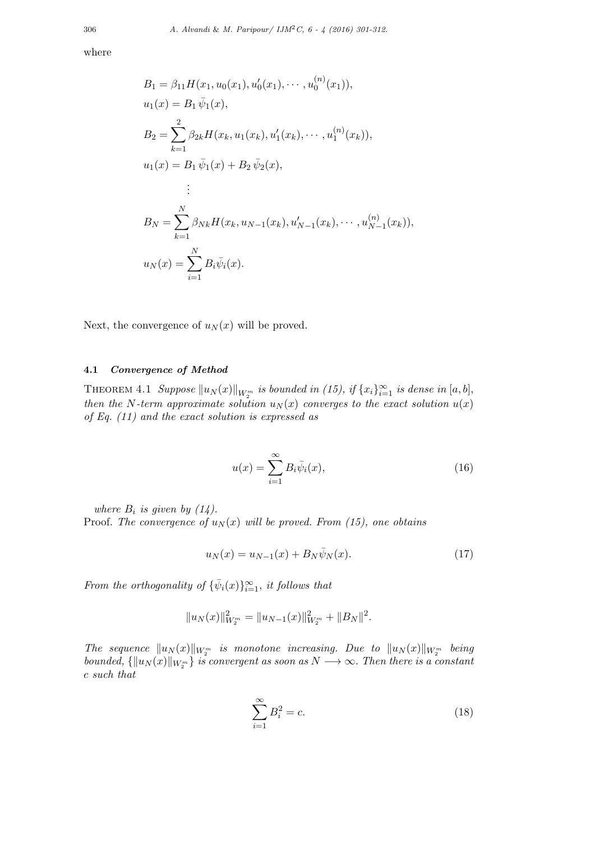where

$$
B_1 = \beta_{11} H(x_1, u_0(x_1), u'_0(x_1), \cdots, u_0^{(n)}(x_1)),
$$
  
\n
$$
u_1(x) = B_1 \bar{\psi}_1(x),
$$
  
\n
$$
B_2 = \sum_{k=1}^2 \beta_{2k} H(x_k, u_1(x_k), u'_1(x_k), \cdots, u_1^{(n)}(x_k)),
$$
  
\n
$$
u_1(x) = B_1 \bar{\psi}_1(x) + B_2 \bar{\psi}_2(x),
$$
  
\n
$$
\vdots
$$
  
\n
$$
B_N = \sum_{k=1}^N \beta_{Nk} H(x_k, u_{N-1}(x_k), u'_{N-1}(x_k), \cdots, u_{N-1}^{(n)}(x_k)),
$$
  
\n
$$
u_N(x) = \sum_{i=1}^N B_i \bar{\psi}_i(x).
$$

Next, the convergence of  $u_N(x)$  will be proved.

## **4.1** *Convergence of Method*

 $\text{THEOREM 4.1 } \text{ Suppose } ||u_N(x)||_{W_2^m} \text{ is bounded in (15), if } \{x_i\}_{i=1}^{\infty} \text{ is dense in } [a, b],$ *then the N*-term approximate solution  $u_N(x)$  *converges to the exact solution*  $u(x)$ *of Eq. (11) and the exact solution is expressed as*

$$
u(x) = \sum_{i=1}^{\infty} B_i \bar{\psi}_i(x), \qquad (16)
$$

*where*  $B_i$  *is given by (14).* 

Proof. *The convergence of*  $u_N(x)$  *will be proved. From (15), one obtains* 

$$
u_N(x) = u_{N-1}(x) + B_N \bar{\psi}_N(x).
$$
 (17)

*From the orthogonality of*  ${\lbrace \bar{\psi}_i(x) \rbrace}_{i=1}^{\infty}$ *, it follows that* 

$$
||u_N(x)||_{W_2^m}^2 = ||u_{N-1}(x)||_{W_2^m}^2 + ||B_N||^2.
$$

*The sequence*  $||u_N(x)||_{W_2^m}$  *is monotone increasing. Due to*  $||u_N(x)||_{W_2^m}$  *being bounded,*  $\{\|u_N(x)\|_{W_2^m}\}$  *is convergent as soon as*  $N \longrightarrow \infty$ *. Then there is a constant c such that*

$$
\sum_{i=1}^{\infty} B_i^2 = c.
$$
\n(18)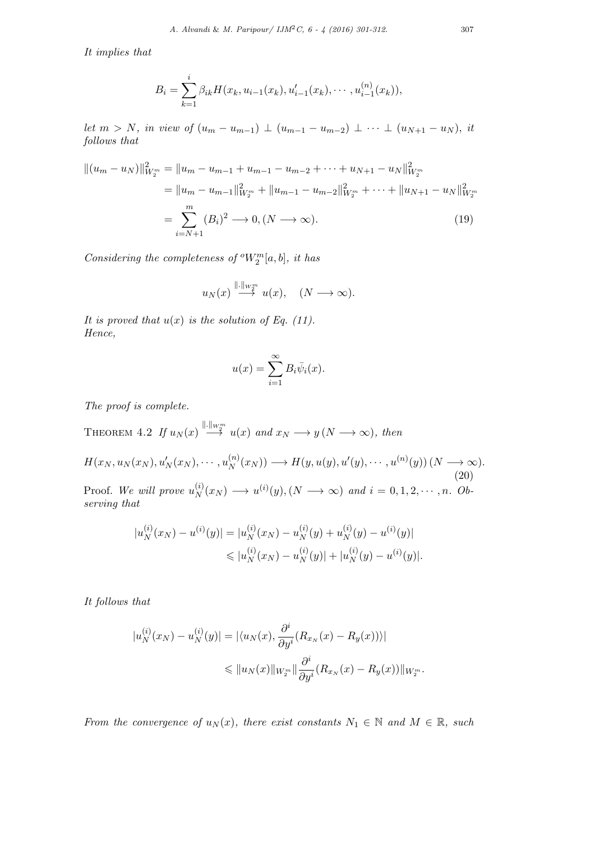*It implies that*

$$
B_i = \sum_{k=1}^i \beta_{ik} H(x_k, u_{i-1}(x_k), u'_{i-1}(x_k), \cdots, u^{(n)}_{i-1}(x_k)),
$$

let  $m > N$ , in view of  $(u_m - u_{m-1}) \perp (u_{m-1} - u_{m-2}) \perp \cdots \perp (u_{N+1} - u_N)$ , it *follows that*

$$
||(u_m - u_N)||_{W_2^m}^2 = ||u_m - u_{m-1} + u_{m-1} - u_{m-2} + \cdots + u_{N+1} - u_N||_{W_2^m}^2
$$
  
=  $||u_m - u_{m-1}||_{W_2^m}^2 + ||u_{m-1} - u_{m-2}||_{W_2^m}^2 + \cdots + ||u_{N+1} - u_N||_{W_2^m}^2$   
=  $\sum_{i=N+1}^m (B_i)^2 \longrightarrow 0, (N \longrightarrow \infty).$  (19)

*Considering the completeness of*  $^oW_2^m[a, b]$ *, it has* 

$$
u_N(x) \stackrel{\|\cdot\|_{W^m_2}}{\longrightarrow} u(x), \quad (N \longrightarrow \infty).
$$

*It is proved that*  $u(x)$  *is the solution of Eq. (11). Hence,*

$$
u(x) = \sum_{i=1}^{\infty} B_i \bar{\psi}_i(x).
$$

*The proof is complete.*

THEOREM 4.2 *If*  $u_N(x) \stackrel{\|\cdot\|_{W^m_X}}{\to} u(x)$  and  $x_N \to y(N \to \infty)$ , then  $H(x_N,u_N(x_N),u_N'(x_N),\cdots,u_N^{(n)})$  $H(y, u(y), u'(y), \cdots, u^{(n)}(y))$  (*N*  $\longrightarrow \infty$ ). (20) Proof. *We will prove u* (*i*)  $\chi_N^{(i)}(x_N) \longrightarrow u^{(i)}(y), (N \longrightarrow \infty)$  and  $i = 0, 1, 2, \cdots, n$ . Ob*serving that*

$$
|u_N^{(i)}(x_N) - u^{(i)}(y)| = |u_N^{(i)}(x_N) - u_N^{(i)}(y) + u_N^{(i)}(y) - u^{(i)}(y)|
$$
  

$$
\leq |u_N^{(i)}(x_N) - u_N^{(i)}(y)| + |u_N^{(i)}(y) - u^{(i)}(y)|.
$$

*It follows that*

$$
|u_N^{(i)}(x_N) - u_N^{(i)}(y)| = |\langle u_N(x), \frac{\partial^i}{\partial y^i} (R_{x_N}(x) - R_y(x)) \rangle|
$$
  

$$
\leq ||u_N(x)||_{W_2^m} ||\frac{\partial^i}{\partial y^i} (R_{x_N}(x) - R_y(x))||_{W_2^m}.
$$

*From the convergence of*  $u_N(x)$ *, there exist constants*  $N_1 \in \mathbb{N}$  *and*  $M \in \mathbb{R}$ *, such*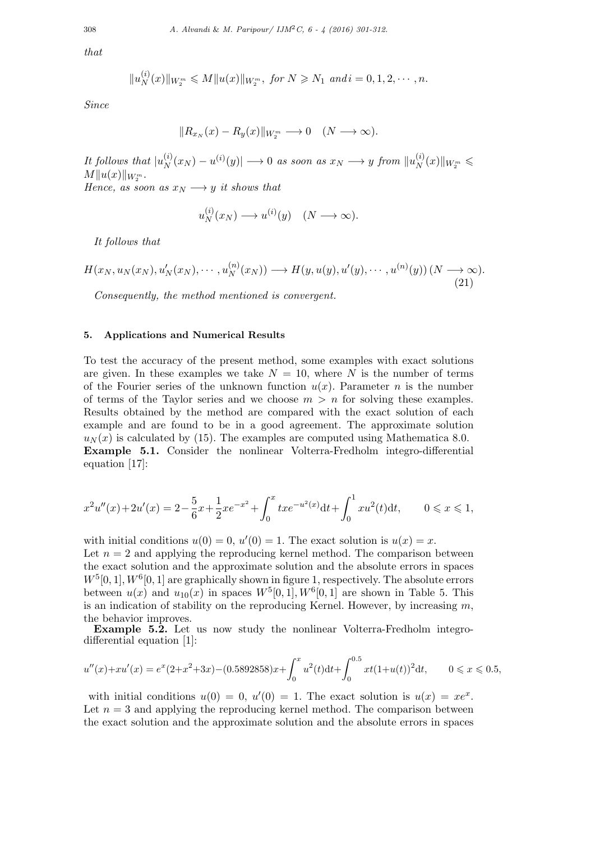*that*

$$
||u_N^{(i)}(x)||_{W_2^m} \le M||u(x)||_{W_2^m}, \text{ for } N \ge N_1 \text{ and } i = 0, 1, 2, \cdots, n.
$$

*Since*

$$
||R_{x_N}(x) - R_y(x)||_{W_2^m} \longrightarrow 0 \quad (N \longrightarrow \infty).
$$

*It follows that*  $|u_N^{(i)}|$  $\frac{d^{(i)}}{N}(x_N) - u^{(i)}(y) \longrightarrow 0$  *as soon as*  $x_N \longrightarrow y$  *from*  $||u_N^{(i)}||$  $\frac{N}{N}(x)$ *∥W*<sup>*m*</sup> ≤  $M||u(x)||_{W_2^m}$ . *Hence, as soon as*  $x_N \longrightarrow y$  *it shows that* 

> $u_N^{(i)}$  $\chi_N^{(i)}(x_N) \longrightarrow u^{(i)}(y) \quad (N \longrightarrow \infty).$

*It follows that*

$$
H(x_N, u_N(x_N), u'_N(x_N), \cdots, u_N^{(n)}(x_N)) \longrightarrow H(y, u(y), u'(y), \cdots, u^{(n)}(y)) \ (N \longrightarrow \infty).
$$
\n(21)

*Consequently, the method mentioned is convergent.*

## **5. Applications and Numerical Results**

To test the accuracy of the present method, some examples with exact solutions are given. In these examples we take  $N = 10$ , where  $N$  is the number of terms of the Fourier series of the unknown function  $u(x)$ . Parameter *n* is the number of terms of the Taylor series and we choose  $m > n$  for solving these examples. Results obtained by the method are compared with the exact solution of each example and are found to be in a good agreement. The approximate solution  $u_N(x)$  is calculated by (15). The examples are computed using Mathematica 8.0. **Example 5.1.** Consider the nonlinear Volterra-Fredholm integro-differential equation [17]:

$$
x^{2}u''(x) + 2u'(x) = 2 - \frac{5}{6}x + \frac{1}{2}xe^{-x^{2}} + \int_{0}^{x} txe^{-u^{2}(x)}dt + \int_{0}^{1} xu^{2}(t)dt, \qquad 0 \le x \le 1,
$$

with initial conditions  $u(0) = 0$ ,  $u'(0) = 1$ . The exact solution is  $u(x) = x$ . Let  $n = 2$  and applying the reproducing kernel method. The comparison between the exact solution and the approximate solution and the absolute errors in spaces  $W^5[0,1], W^6[0,1]$  are graphically shown in figure 1, respectively. The absolute errors between  $u(x)$  and  $u_{10}(x)$  in spaces  $W^5[0,1], W^6[0,1]$  are shown in Table 5. This is an indication of stability on the reproducing Kernel. However, by increasing *m*, the behavior improves.

**Example 5.2.** Let us now study the nonlinear Volterra-Fredholm integrodifferential equation [1]:

$$
u''(x) + xu'(x) = e^x(2+x^2+3x) - (0.5892858)x + \int_0^x u^2(t)dt + \int_0^{0.5} xt(1+u(t))^2 dt, \qquad 0 \le x \le 0.5,
$$

with initial conditions  $u(0) = 0$ ,  $u'(0) = 1$ . The exact solution is  $u(x) = xe^x$ . Let  $n = 3$  and applying the reproducing kernel method. The comparison between the exact solution and the approximate solution and the absolute errors in spaces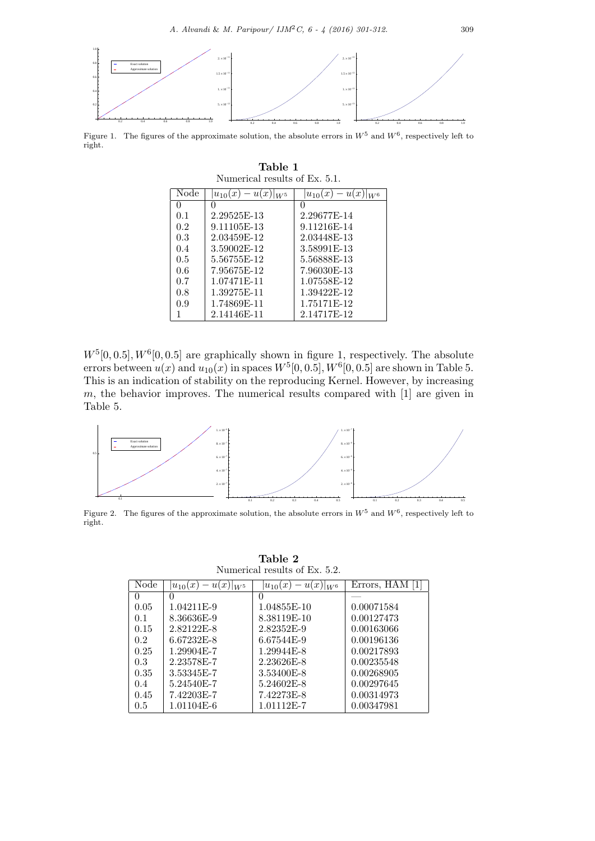

Figure 1. The figures of the approximate solution, the absolute errors in  $W^5$  and  $W^6$ , respectively left to right.

**Table 1**

| Numerical results of Ex. 5.1. |                                 |                          |  |  |
|-------------------------------|---------------------------------|--------------------------|--|--|
| Node                          | $-u(x) _{W^5}$<br>$ u_{10}(x) $ | $ u_{10}(x)-u(x) _{W^6}$ |  |  |
| $^{(1)}$                      |                                 |                          |  |  |
| 0.1                           | 2.29525E-13                     | 2.29677E-14              |  |  |
| 0.2                           | 9.11105E-13                     | 9.11216E-14              |  |  |
| 0.3                           | 2.03459E-12                     | 2.03448E-13              |  |  |
| 0.4                           | 3.59002E-12                     | 3.58991E-13              |  |  |
| 0.5                           | 5.56755E-12                     | 5.56888E-13              |  |  |
| 0.6                           | 7.95675E-12                     | 7.96030E-13              |  |  |
| 0.7                           | 1.07471F-11                     | 1.07558E-12              |  |  |
| 0.8                           | 1.39275E-11                     | 1.39422E-12              |  |  |
| 0.9                           | 1.74869E-11                     | 1.75171E-12              |  |  |
|                               | 2.14146E-11                     | 2.14717E-12              |  |  |

 $W^5[0, 0.5], W^6[0, 0.5]$  are graphically shown in figure 1, respectively. The absolute errors between  $u(x)$  and  $u_{10}(x)$  in spaces  $W^5[0, 0.5]$ ,  $W^6[0, 0.5]$  are shown in Table 5. This is an indication of stability on the reproducing Kernel. However, by increasing *m*, the behavior improves. The numerical results compared with [1] are given in Table 5.



Figure 2. The figures of the approximate solution, the absolute errors in  $W^5$  and  $W^6$ , respectively left to right.

**Table 2** Numerical results of Ex. 5.2.

| Node | $-u(x) _{W^5}$<br>$u_{10}(x)$ | $u_{10}(x)$<br>u(x)<br>$\vert W^6 \vert$ | Errors, HAM |
|------|-------------------------------|------------------------------------------|-------------|
|      |                               | $\theta$                                 |             |
| 0.05 | 1.04211E-9                    | 1.04855E-10                              | 0.00071584  |
| 0.1  | 8.36636E-9                    | 8.38119E-10                              | 0.00127473  |
| 0.15 | 2.82122E-8                    | 2.82352E-9                               | 0.00163066  |
| 0.2  | 6.67232E-8                    | 6.67544E-9                               | 0.00196136  |
| 0.25 | 1.29904E-7                    | 1.29944E-8                               | 0.00217893  |
| 0.3  | 2.23578E-7                    | 2.23626E-8                               | 0.00235548  |
| 0.35 | 3.53345E-7                    | 3.53400E-8                               | 0.00268905  |
| 0.4  | 5.24540E-7                    | 5.24602E-8                               | 0.00297645  |
| 0.45 | 7.42203E-7                    | 7.42273E-8                               | 0.00314973  |
| 0.5  | 1.01104E-6                    | 1.01112E-7                               | 0.00347981  |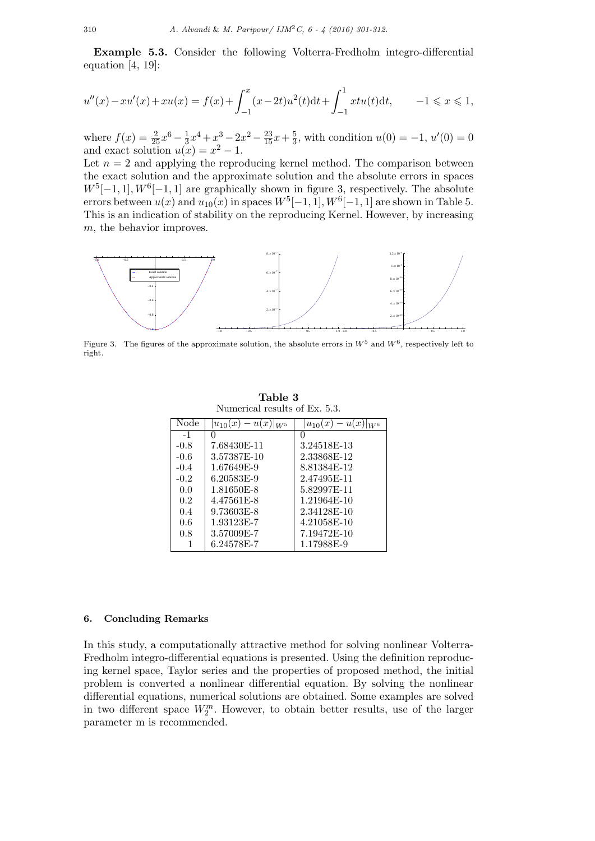**Example 5.3.** Consider the following Volterra-Fredholm integro-differential equation  $[4, 19]$ :

$$
u''(x) - xu'(x) + xu(x) = f(x) + \int_{-1}^{x} (x - 2t)u^{2}(t)dt + \int_{-1}^{1} xtu(t)dt, \qquad -1 \le x \le 1,
$$

where  $f(x) = \frac{2}{25}x^6 - \frac{1}{3}$  $\frac{1}{3}x^4 + x^3 - 2x^2 - \frac{23}{15}x + \frac{5}{3}$  $\frac{5}{3}$ , with condition  $u(0) = -1$ ,  $u'(0) = 0$ and exact solution  $u(x) = x^2 - 1$ .

Let  $n = 2$  and applying the reproducing kernel method. The comparison between the exact solution and the approximate solution and the absolute errors in spaces  $W^5[-1,1], W^6[-1,1]$  are graphically shown in figure 3, respectively. The absolute errors between  $u(x)$  and  $u_{10}(x)$  in spaces  $W^5[-1,1], W^6[-1,1]$  are shown in Table 5. This is an indication of stability on the reproducing Kernel. However, by increasing *m*, the behavior improves.



Figure 3. The figures of the approximate solution, the absolute errors in  $W^5$  and  $W^6$ , respectively left to right.

| TO THE REAL LESUITS OF LAT. 0.0. |                                  |                                   |  |  |
|----------------------------------|----------------------------------|-----------------------------------|--|--|
| Node                             | $- u(x)$<br>$u_{10}(x)$<br>$W^5$ | $- u(x)$<br>$u_{10}(x)$<br>$ W^6$ |  |  |
| $-1$                             |                                  | $\cup$                            |  |  |
| $-0.8$                           | 7.68430E-11                      | 3.24518E-13                       |  |  |
| $-0.6$                           | 3.57387E-10                      | 2.33868E-12                       |  |  |
| $-0.4$                           | 1.67649E-9                       | 8.81384E-12                       |  |  |
| $-0.2$                           | 6.20583E-9                       | 2.47495E-11                       |  |  |
| 0.0                              | 1.81650E-8                       | 5.82997E-11                       |  |  |
| 0.2                              | 4.47561E-8                       | 1.21964E-10                       |  |  |
| 0.4                              | 9.73603E-8                       | 2.34128E-10                       |  |  |
| 0.6                              | 1.93123E-7                       | 4.21058E-10                       |  |  |
| 0.8                              | 3.57009E-7                       | 7.19472E-10                       |  |  |
|                                  | 6.24578E-7                       | 1.17988E-9                        |  |  |

**Table 3** Numerical results of Ex. 5.3.

#### **6. Concluding Remarks**

In this study, a computationally attractive method for solving nonlinear Volterra-Fredholm integro-differential equations is presented. Using the definition reproducing kernel space, Taylor series and the properties of proposed method, the initial problem is converted a nonlinear differential equation. By solving the nonlinear differential equations, numerical solutions are obtained. Some examples are solved in two different space *W<sup>m</sup>* 2 . However, to obtain better results, use of the larger parameter m is recommended.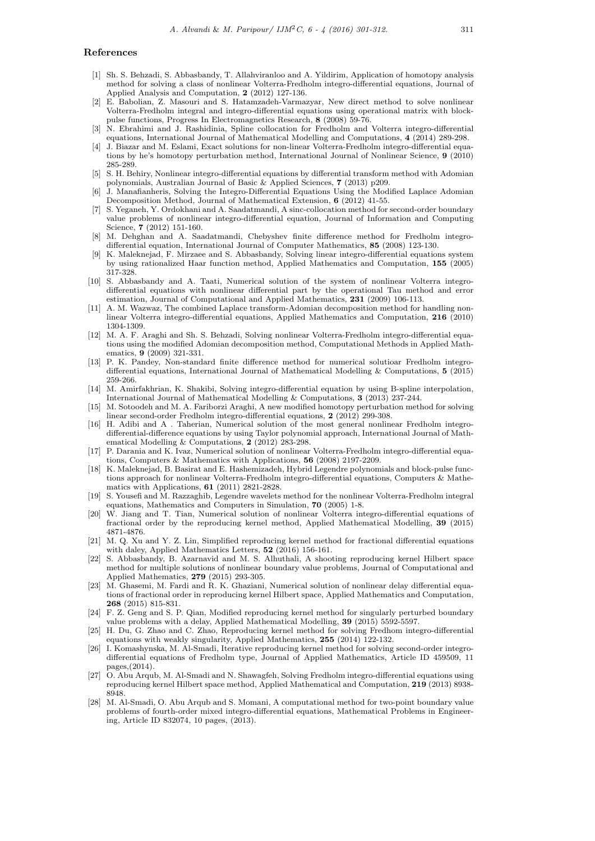#### **References**

- [1] Sh. S. Behzadi, S. Abbasbandy, T. Allahviranloo and A. Yildirim, Application of homotopy analysis method for solving a class of nonlinear Volterra-Fredholm integro-differential equations, Journal of Applied Analysis and Computation, **2** (2012) 127-136.
- [2] E. Babolian, Z. Masouri and S. Hatamzadeh-Varmazyar, New direct method to solve nonlinear Volterra-Fredholm integral and integro-differential equations using operational matrix with blockpulse functions, Progress In Electromagnetics Research, **8** (2008) 59-76.
- [3] N. Ebrahimi and J. Rashidinia, Spline collocation for Fredholm and Volterra integro-differential equations, International Journal of Mathematical Modelling and Computations, **4** (2014) 289-298.
- [4] J. Biazar and M. Eslami, Exact solutions for non-linear Volterra-Fredholm integro-differential equations by he's homotopy perturbation method, International Journal of Nonlinear Science, **9** (2010) 285-289.
- [5] S. H. Behiry, Nonlinear integro-differential equations by differential transform method with Adomian polynomials, Australian Journal of Basic & Applied Sciences, **7** (2013) p209.
- [6] J. Manafianheris, Solving the Integro-Differential Equations Using the Modified Laplace Adomian Decomposition Method, Journal of Mathematical Extension, **6** (2012) 41-55.
- [7] S. Yeganeh, Y. Ordokhani and A. Saadatmandi, A sinc-collocation method for second-order boundary value problems of nonlinear integro-differential equation, Journal of Information and Computing Science, **7** (2012) 151-160.
- [8] M. Dehghan and A. Saadatmandi, Chebyshev finite difference method for Fredholm integrodifferential equation, International Journal of Computer Mathematics, **85** (2008) 123-130.
- [9] K. Maleknejad, F. Mirzaee and S. Abbasbandy, Solving linear integro-differential equations system by using rationalized Haar function method, Applied Mathematics and Computation, **155** (2005) 317-328.
- [10] S. Abbasbandy and A. Taati, Numerical solution of the system of nonlinear Volterra integrodifferential equations with nonlinear differential part by the operational Tau method and error estimation, Journal of Computational and Applied Mathematics, **231** (2009) 106-113.
- [11] A. M. Wazwaz, The combined Laplace transform-Adomian decomposition method for handling nonlinear Volterra integro-differential equations, Applied Mathematics and Computation, **216** (2010) 1304-1309.
- [12] M. A. F. Araghi and Sh. S. Behzadi, Solving nonlinear Volterra-Fredholm integro-differential equations using the modified Adomian decomposition method, Computational Methods in Applied Mathematics, **9** (2009) 321-331.
- [13] P. K. Pandey, Non-standard finite difference method for numerical solutioar Fredholm integrodifferential equations, International Journal of Mathematical Modelling & Computations, **5** (2015) 259-266.
- [14] M. Amirfakhrian, K. Shakibi, Solving integro-differential equation by using B-spline interpolation, International Journal of Mathematical Modelling & Computations, **3** (2013) 237-244.
- [15] M. Sotoodeh and M. A. Fariborzi Araghi, A new modified homotopy perturbation method for solving linear second-order Fredholm integro-differential equations, **2** (2012) 299-308.
- [16] H. Adibi and A . Taherian, Numerical solution of the most general nonlinear Fredholm integrodifferential-difference equations by using Taylor polynomial approach, International Journal of Mathematical Modelling & Computations, **2** (2012) 283-298.
- [17] P. Darania and K. Ivaz, Numerical solution of nonlinear Volterra-Fredholm integro-differential equations, Computers & Mathematics with Applications, **56** (2008) 2197-2209.
- [18] K. Maleknejad, B. Basirat and E. Hashemizadeh, Hybrid Legendre polynomials and block-pulse functions approach for nonlinear Volterra-Fredholm integro-differential equations, Computers & Mathematics with Applications, **61** (2011) 2821-2828.
- [19] S. Yousefi and M. Razzaghib, Legendre wavelets method for the nonlinear Volterra-Fredholm integral equations, Mathematics and Computers in Simulation, **70** (2005) 1-8.
- [20] W. Jiang and T. Tian, Numerical solution of nonlinear Volterra integro-differential equations of fractional order by the reproducing kernel method, Applied Mathematical Modelling, **39** (2015) 4871-4876.
- [21] M. Q. Xu and Y. Z. Lin, Simplified reproducing kernel method for fractional differential equations with daley, Applied Mathematics Letters, **52** (2016) 156-161.
- [22] S. Abbasbandy, B. Azarnavid and M. S. Alhuthali, A shooting reproducing kernel Hilbert space method for multiple solutions of nonlinear boundary value problems, Journal of Computational and Applied Mathematics, **279** (2015) 293-305.
- [23] M. Ghasemi, M. Fardi and R. K. Ghaziani, Numerical solution of nonlinear delay differential equations of fractional order in reproducing kernel Hilbert space, Applied Mathematics and Computation, **268** (2015) 815-831.
- [24] F. Z. Geng and S. P. Qian, Modified reproducing kernel method for singularly perturbed boundary value problems with a delay, Applied Mathematical Modelling, **39** (2015) 5592-5597.
- [25] H. Du, G. Zhao and C. Zhao, Reproducing kernel method for solving Fredhom integro-differential equations with weakly singularity, Applied Mathematics, **255** (2014) 122-132.
- [26] I. Komashynska, M. Al-Smadi, Iterative reproducing kernel method for solving second-order integrodifferential equations of Fredholm type, Journal of Applied Mathematics, Article ID 459509, 11 pages,(2014).
- [27] O. Abu Arqub, M. Al-Smadi and N. Shawagfeh, Solving Fredholm integro-differential equations using reproducing kernel Hilbert space method, Applied Mathematical and Computation, **219** (2013) 8938- 8948.
- [28] M. Al-Smadi, O. Abu Arqub and S. Momani, A computational method for two-point boundary value problems of fourth-order mixed integro-differential equations, Mathematical Problems in Engineering, Article ID 832074, 10 pages, (2013).